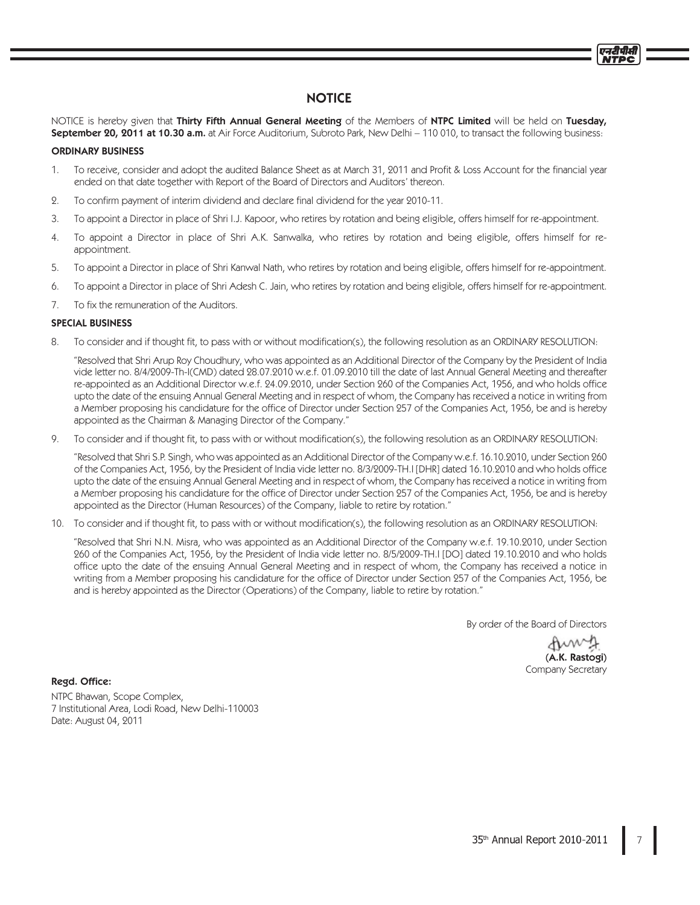NOTICE is hereby given that Thirty Fifth Annual General Meeting of the Members of NTPC Limited will be held on Tuesday, September 20, 2011 at 10.30 a.m. at Air Force Auditorium, Subroto Park, New Delhi - 110 010, to transact the following business:

## ORDINARY BUSINESS

- 1. To receive, consider and adopt the audited Balance Sheet as at March 31, 2011 and Profit & Loss Account for the financial year ended on that date together with Report of the Board of Directors and Auditors' thereon.
- 2. To confirm payment of interim dividend and declare final dividend for the year 2010-11.
- 3. To appoint a Director in place of Shri I.J. Kapoor, who retires by rotation and being eligible, offers himself for re-appointment.
- 4. To appoint a Director in place of Shri A.K. Sanwalka, who retires by rotation and being eligible, offers himself for reappointment.
- 5. To appoint a Director in place of Shri Kanwal Nath, who retires by rotation and being eligible, offers himself for re-appointment.
- 6. To appoint a Director in place of Shri Adesh C. Jain, who retires by rotation and being eligible, offers himself for re-appointment.
- 7. To fix the remuneration of the Auditors.

### SPECIAL BUSINESS

8. To consider and if thought fit, to pass with or without modification(s), the following resolution as an ORDINARY RESOLUTION:

"Resolved that Shri Arup Roy Choudhury, who was appointed as an Additional Director of the Company by the President of India vide letter no. 8/4/2009-Th-I(CMD) dated 28.07.2010 w.e.f. 01.09.2010 till the date of last Annual General Meeting and thereafter re-appointed as an Additional Director w.e.f. 24.09.2010, under Section 260 of the Companies Act, 1956, and who holds office upto the date of the ensuing Annual General Meeting and in respect of whom, the Company has received a notice in writing from a Member proposing his candidature for the office of Director under Section 257 of the Companies Act, 1956, be and is hereby appointed as the Chairman & Managing Director of the Company."

9. To consider and if thought fit, to pass with or without modification(s), the following resolution as an ORDINARY RESOLUTION:

"Resolved that Shri S.P. Singh, who was appointed as an Additional Director of the Company w.e.f. 16.10.2010, under Section 260 of the Companies Act, 1956, by the President of India vide letter no. 8/3/2009-TH.I [DHR] dated 16.10.2010 and who holds office upto the date of the ensuing Annual General Meeting and in respect of whom, the Company has received a notice in writing from a Member proposing his candidature for the office of Director under Section 257 of the Companies Act, 1956, be and is hereby appointed as the Director (Human Resources) of the Company, liable to retire by rotation."

10. To consider and if thought fit, to pass with or without modification(s), the following resolution as an ORDINARY RESOLUTION:

"Resolved that Shri N.N. Misra, who was appointed as an Additional Director of the Company w.e.f. 19.10.2010, under Section 260 of the Companies Act, 1956, by the President of India vide letter no. 8/5/2009-TH.I [DO] dated 19.10.2010 and who holds office upto the date of the ensuing Annual General Meeting and in respect of whom, the Company has received a notice in writing from a Member proposing his candidature for the office of Director under Section 257 of the Companies Act, 1956, be and is hereby appointed as the Director (Operations) of the Company, liable to retire by rotation."

By order of the Board of Directors

Amy (A.K. Rastogi) Company Secretary

Regd. Office: NTPC Bhawan, Scope Complex, 7 Institutional Area, Lodi Road, New Delhi-110003 Date: August 04, 2011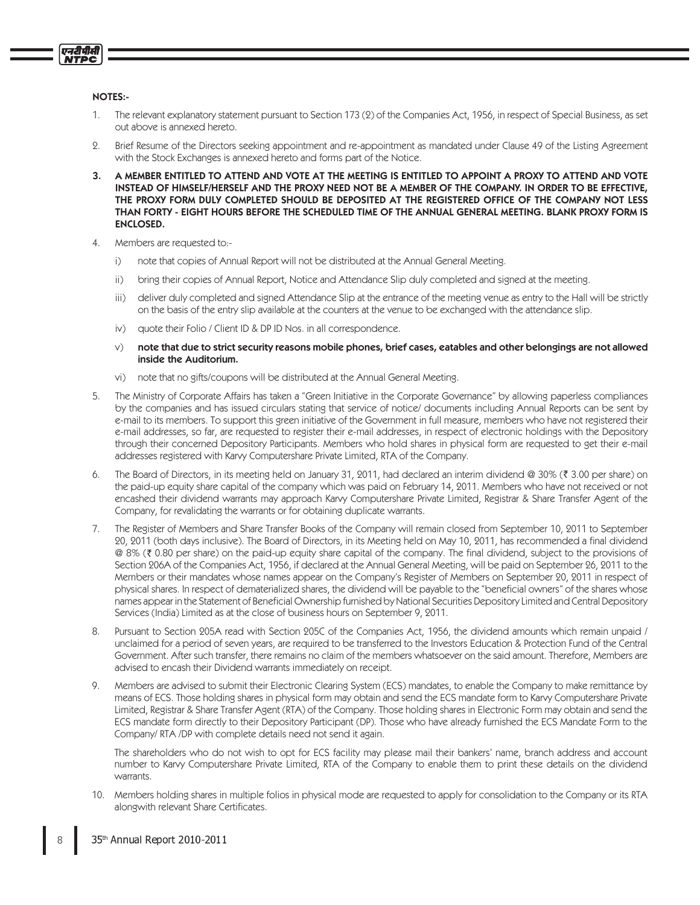## NOTES:-

एनटीपीसी

- 1. The relevant explanatory statement pursuant to Section 173 (2) of the Companies Act, 1956, in respect of Special Business, as set out above is annexed hereto.
- 2. Brief Resume of the Directors seeking appointment and re-appointment as mandated under Clause 49 of the Listing Agreement with the Stock Exchanges is annexed hereto and forms part of the Notice.
- 3. A MEMBER ENTITLED TO ATTEND AND VOTE AT THE MEETING IS ENTITLED TO APPOINT A PROXY TO ATTEND AND VOTE INSTEAD OF HIMSELF/HERSELF AND THE PROXY NEED NOT BE A MEMBER OF THE COMPANY. IN ORDER TO BE EFFECTIVE, THE PROXY FORM DULY COMPLETED SHOULD BE DEPOSITED AT THE REGISTERED OFFICE OF THE COMPANY NOT LESS THAN FORTY - EIGHT HOURS BEFORE THE SCHEDULED TIME OF THE ANNUAL GENERAL MEETING. BLANK PROXY FORM IS ENCLOSED.
- 4. Members are requested to:
	- $i)$ note that copies of Annual Report will not be distributed at the Annual General Meeting.
	- $\overline{ii}$ bring their copies of Annual Report, Notice and Attendance Slip duly completed and signed at the meeting.
	- iii) deliver duly completed and signed Attendance Slip at the entrance of the meeting venue as entry to the Hall will be strictly on the basis of the entry slip available at the counters at the venue to be exchanged with the attendance slip.
	- iv) quote their Folio / Client ID & DP ID Nos. in all correspondence.
	- W note that due to strict security reasons mobile phones, brief cases, eatables and other belongings are not allowed inside the Auditorium.
	- vi) note that no gifts/coupons will be distributed at the Annual General Meeting.
- 5. The Ministry of Corporate Affairs has taken a "Green Initiative in the Corporate Governance" by allowing paperless compliances by the companies and has issued circulars stating that service of notice/ documents including Annual Reports can be sent by e-mail to its members. To support this green initiative of the Government in full measure, members who have not registered their e-mail addresses, so far, are requested to register their e-mail addresses, in respect of electronic holdings with the Depository through their concerned Depository Participants. Members who hold shares in physical form are requested to get their e-mail addresses registered with Karvy Computershare Private Limited, RTA of the Company.
- 6. The Board of Directors, in its meeting held on January 31, 2011, had declared an interim dividend @ 30% (₹ 3.00 per share) on the paid-up equity share capital of the company which was paid on February 14, 2011. Members who have not received or not encashed their dividend warrants may approach Karvy Computershare Private Limited, Registrar & Share Transfer Agent of the Company, for revalidating the warrants or for obtaining duplicate warrants.
- 7. The Register of Members and Share Transfer Books of the Company will remain closed from September 10, 2011 to September 20, 2011 (both days inclusive). The Board of Directors, in its Meeting held on May 10, 2011, has recommended a final dividend @ 8% (₹ 0.80 per share) on the paid-up equity share capital of the company. The final dividend, subject to the provisions of Section 206A of the Companies Act, 1956, if declared at the Annual General Meeting, will be paid on September 26, 2011 to the Members or their mandates whose names appear on the Company's Register of Members on September 20, 2011 in respect of physical shares. In respect of dematerialized shares, the dividend will be payable to the "beneficial owners" of the shares whose names appear in the Statement of Beneficial Ownership furnished by National Securities Depository Limited and Central Depository Services (India) Limited as at the close of business hours on September 9, 2011.
- 8. Pursuant to Section 205A read with Section 205C of the Companies Act, 1956, the dividend amounts which remain unpaid / unclaimed for a period of seven years, are required to be transferred to the Investors Education & Protection Fund of the Central Government. After such transfer, there remains no claim of the members whatsoever on the said amount. Therefore, Members are advised to encash their Dividend warrants immediately on receipt.
- 9. Members are advised to submit their Electronic Clearing System (ECS) mandates, to enable the Company to make remittance by means of ECS. Those holding shares in physical form may obtain and send the ECS mandate form to Karvy Computershare Private Limited, Registrar & Share Transfer Agent (RTA) of the Company. Those holding shares in Electronic Form may obtain and send the ECS mandate form directly to their Depository Participant (DP). Those who have already furnished the ECS Mandate Form to the Company/RTA/DP with complete details need not send it again.

The shareholders who do not wish to opt for ECS facility may please mail their bankers' name, branch address and account number to Karvy Computershare Private Limited, RTA of the Company to enable them to print these details on the dividend warrants.

10. Members holding shares in multiple folios in physical mode are requested to apply for consolidation to the Company or its RTA alongwith relevant Share Certificates.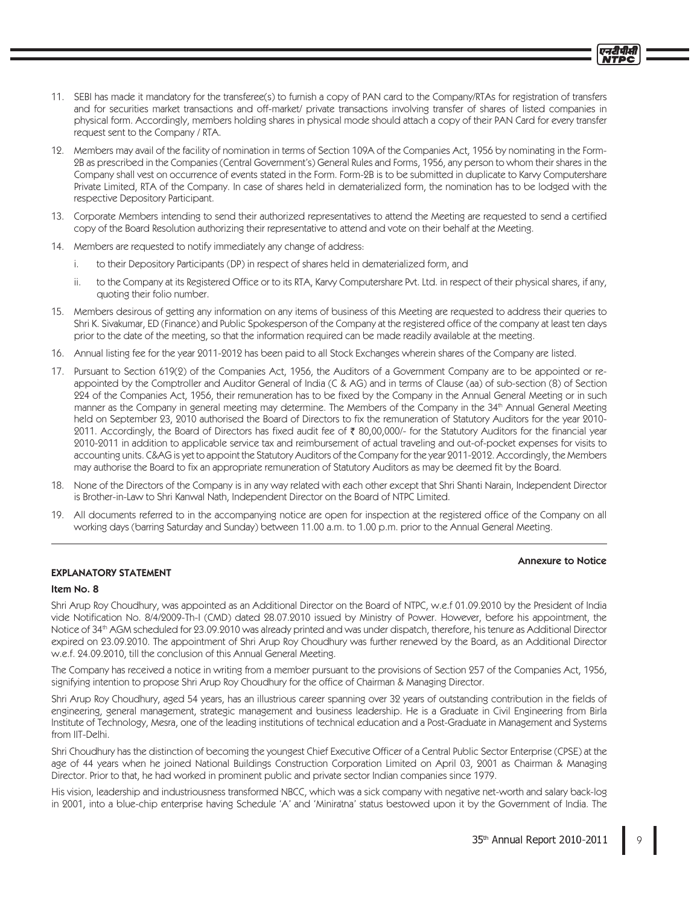- 11. SEBI has made it mandatory for the transferee(s) to furnish a copy of PAN card to the Company/RTAs for registration of transfers and for securities market transactions and off-market/ private transactions involving transfer of shares of listed companies in physical form. Accordingly, members holding shares in physical mode should attach a copy of their PAN Card for every transfer request sent to the Company / RTA.
- 12. Members may avail of the facility of nomination in terms of Section 109A of the Companies Act, 1956 by nominating in the Form-2B as prescribed in the Companies (Central Government's) General Rules and Forms, 1956, any person to whom their shares in the Company shall vest on occurrence of events stated in the Form. Form-2B is to be submitted in duplicate to Karvy Computershare Private Limited, RTA of the Company. In case of shares held in dematerialized form, the nomination has to be lodged with the respective Depository Participant.
- 13. Corporate Members intending to send their authorized representatives to attend the Meeting are requested to send a certified copy of the Board Resolution authorizing their representative to attend and vote on their behalf at the Meeting.
- 14. Members are requested to notify immediately any change of address:
	- to their Depository Participants (DP) in respect of shares held in dematerialized form, and i.
	- ii. to the Company at its Registered Office or to its RTA, Karvy Computershare Pvt. Ltd. in respect of their physical shares, if any, quoting their folio number.
- 15. Members desirous of getting any information on any items of business of this Meeting are requested to address their queries to Shri K. Sivakumar, ED (Finance) and Public Spokesperson of the Company at the registered office of the company at least ten days prior to the date of the meeting, so that the information required can be made readily available at the meeting.
- 16. Annual listing fee for the year 2011-2012 has been paid to all Stock Exchanges wherein shares of the Company are listed.
- 17. Pursuant to Section 619(2) of the Companies Act, 1956, the Auditors of a Government Company are to be appointed or reappointed by the Comptroller and Auditor General of India (C & AG) and in terms of Clause (aa) of sub-section (8) of Section 224 of the Companies Act, 1956, their remuneration has to be fixed by the Company in the Annual General Meeting or in such manner as the Company in general meeting may determine. The Members of the Company in the 34<sup>th</sup> Annual General Meeting held on September 23, 2010 authorised the Board of Directors to fix the remuneration of Statutory Auditors for the year 2010-2011. Accordingly, the Board of Directors has fixed audit fee of ₹80,00,000/- for the Statutory Auditors for the financial year 2010-2011 in addition to applicable service tax and reimbursement of actual traveling and out-of-pocket expenses for visits to accounting units. C&AG is yet to appoint the Statutory Auditors of the Company for the year 2011-2012. Accordingly, the Members may authorise the Board to fix an appropriate remuneration of Statutory Auditors as may be deemed fit by the Board.
- 18. None of the Directors of the Company is in any way related with each other except that Shri Shanti Narain, Independent Director is Brother-in-Law to Shri Kanwal Nath, Independent Director on the Board of NTPC Limited.
- 19. All documents referred to in the accompanying notice are open for inspection at the registered office of the Company on all working days (barring Saturday and Sunday) between 11.00 a.m. to 1.00 p.m. prior to the Annual General Meeting.

### Annexure to Notice

## **EXPLANATORY STATEMENT**

### Item No. 8

Shri Arup Roy Choudhury, was appointed as an Additional Director on the Board of NTPC, w.e.f 01.09.2010 by the President of India vide Notification No. 8/4/2009-Th-I (CMD) dated 28.07.2010 issued by Ministry of Power. However, before his appointment, the Notice of 34th AGM scheduled for 23.09.2010 was already printed and was under dispatch, therefore, his tenure as Additional Director expired on 23.09.2010. The appointment of Shri Arup Roy Choudhury was further renewed by the Board, as an Additional Director w.e.f. 24.09.2010, till the conclusion of this Annual General Meeting.

The Company has received a notice in writing from a member pursuant to the provisions of Section 257 of the Companies Act, 1956, signifying intention to propose Shri Arup Roy Choudhury for the office of Chairman & Managing Director.

Shri Arup Roy Choudhury, aged 54 years, has an illustrious career spanning over 32 years of outstanding contribution in the fields of engineering, general management, strategic management and business leadership. He is a Graduate in Civil Engineering from Birla Institute of Technology, Mesra, one of the leading institutions of technical education and a Post-Graduate in Management and Systems from IIT-Delhi.

Shri Choudhury has the distinction of becoming the youngest Chief Executive Officer of a Central Public Sector Enterprise (CPSE) at the age of 44 years when he joined National Buildings Construction Corporation Limited on April 03, 2001 as Chairman & Managing Director. Prior to that, he had worked in prominent public and private sector Indian companies since 1979.

His vision, leadership and industriousness transformed NBCC, which was a sick company with negative net-worth and salary back-log in 2001, into a blue-chip enterprise having Schedule 'A' and 'Miniratna' status bestowed upon it by the Government of India. The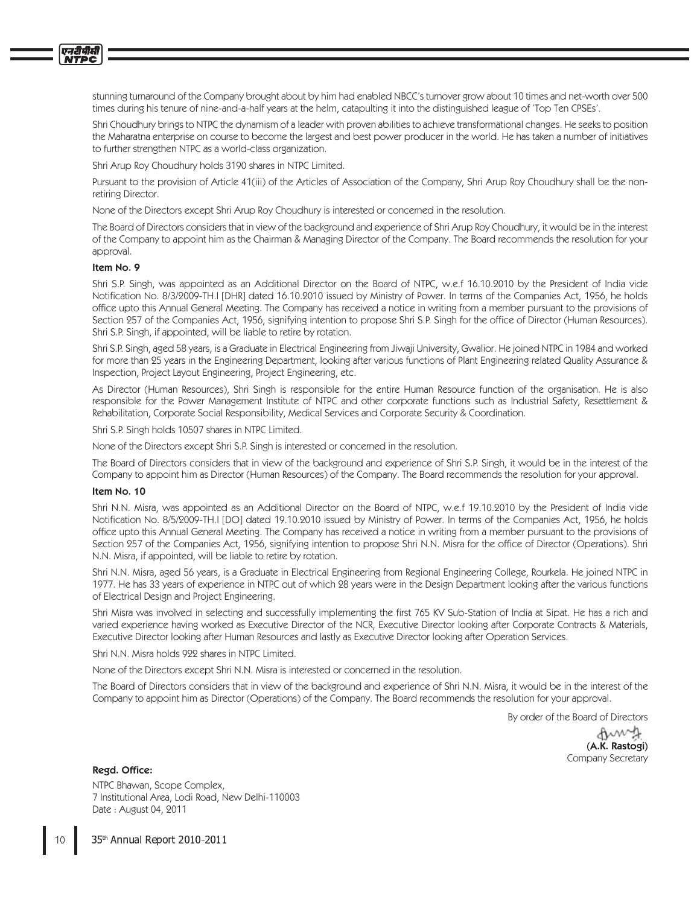stunning turnaround of the Company brought about by him had enabled NBCC's turnover grow about 10 times and net-worth over 500 times during his tenure of nine-and-a-half years at the helm, catapulting it into the distinguished league of 'Top Ten CPSEs'.

Shri Choudhury brings to NTPC the dynamism of a leader with proven abilities to achieve transformational changes. He seeks to position the Maharatna enterprise on course to become the largest and best power producer in the world. He has taken a number of initiatives to further strengthen NTPC as a world-class organization.

Shri Arup Roy Choudhury holds 3190 shares in NTPC Limited.

Pursuant to the provision of Article 41(iii) of the Articles of Association of the Company, Shri Arup Roy Choudhury shall be the nonretiring Director.

None of the Directors except Shri Arup Roy Choudhury is interested or concerned in the resolution.

The Board of Directors considers that in view of the background and experience of Shri Arup Roy Choudhury, it would be in the interest of the Company to appoint him as the Chairman & Managing Director of the Company. The Board recommends the resolution for your approval.

### Item No. 9

Shri S.P. Singh, was appointed as an Additional Director on the Board of NTPC, w.e.f 16.10.2010 by the President of India vide Notification No. 8/3/2009-TH.I [DHR] dated 16.10.2010 issued by Ministry of Power. In terms of the Companies Act, 1956, he holds office upto this Annual General Meeting. The Company has received a notice in writing from a member pursuant to the provisions of Section 257 of the Companies Act, 1956, signifying intention to propose Shri S.P. Singh for the office of Director (Human Resources). Shri S.P. Singh, if appointed, will be liable to retire by rotation.

Shri S.P. Singh, aged 58 years, is a Graduate in Electrical Engineering from Jiwaji University, Gwalior. He joined NTPC in 1984 and worked for more than 25 years in the Engineering Department, looking after various functions of Plant Engineering related Quality Assurance & Inspection, Project Layout Engineering, Project Engineering, etc.

As Director (Human Resources), Shri Singh is responsible for the entire Human Resource function of the organisation. He is also responsible for the Power Management Institute of NTPC and other corporate functions such as Industrial Safety, Resettlement & Rehabilitation, Corporate Social Responsibility, Medical Services and Corporate Security & Coordination.

Shri S.P. Singh holds 10507 shares in NTPC Limited.

None of the Directors except Shri S.P. Singh is interested or concerned in the resolution.

The Board of Directors considers that in view of the background and experience of Shri S.P. Singh, it would be in the interest of the Company to appoint him as Director (Human Resources) of the Company. The Board recommends the resolution for your approval.

#### Item No. 10

Shri N.N. Misra, was appointed as an Additional Director on the Board of NTPC, w.e.f 19.10.2010 by the President of India vide Notification No. 8/5/2009-TH.I [DO] dated 19.10.2010 issued by Ministry of Power. In terms of the Companies Act, 1956, he holds office upto this Annual General Meeting. The Company has received a notice in writing from a member pursuant to the provisions of Section 257 of the Companies Act, 1956, signifying intention to propose Shri N.N. Misra for the office of Director (Operations). Shri N.N. Misra, if appointed, will be liable to retire by rotation.

Shri N.N. Misra, aged 56 years, is a Graduate in Electrical Engineering from Regional Engineering College, Rourkela. He joined NTPC in 1977. He has 33 years of experience in NTPC out of which 28 years were in the Design Department looking after the various functions of Electrical Design and Project Engineering.

Shri Misra was involved in selecting and successfully implementing the first 765 KV Sub-Station of India at Sipat. He has a rich and varied experience having worked as Executive Director of the NCR, Executive Director looking after Corporate Contracts & Materials, Executive Director looking after Human Resources and lastly as Executive Director looking after Operation Services.

Shri N.N. Misra holds 922 shares in NTPC Limited.

None of the Directors except Shri N.N. Misra is interested or concerned in the resolution.

The Board of Directors considers that in view of the background and experience of Shri N.N. Misra, it would be in the interest of the Company to appoint him as Director (Operations) of the Company. The Board recommends the resolution for your approval.

By order of the Board of Directors

dum (A.K. Rastogi) Company Secretary

Regd. Office:

NTPC Bhawan, Scope Complex, 7 Institutional Area, Lodi Road, New Delhi-110003 Date: August 04, 2011

35th Annual Report 2010-2011